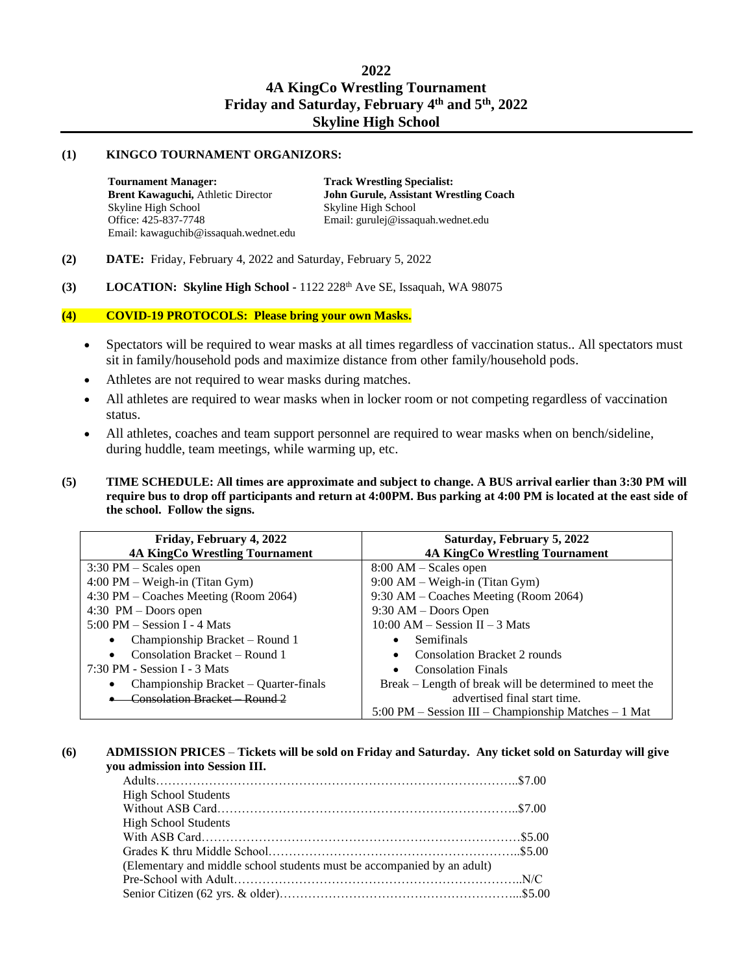#### **(1) KINGCO TOURNAMENT ORGANIZORS:**

**Tournament Manager: Brent Kawaguchi,** Athletic Director Skyline High School Office: 425-837-7748 Email: kawaguchib@issaquah.wednet.edu  **Track Wrestling Specialist: John Gurule, Assistant Wrestling Coach**  Skyline High School Email: [gurulej@issaquah.wednet.edu](mailto:gurulej@issaquah.wednet.edu)

- **(2) DATE:** Friday, February 4, 2022 and Saturday, February 5, 2022
- **(3) LOCATION: Skyline High School -** 1122 228th Ave SE, Issaquah, WA 98075

# **(4) COVID-19 PROTOCOLS: Please bring your own Masks.**

- Spectators will be required to wear masks at all times regardless of vaccination status.. All spectators must sit in family/household pods and maximize distance from other family/household pods.
- Athletes are not required to wear masks during matches.
- All athletes are required to wear masks when in locker room or not competing regardless of vaccination status.
- All athletes, coaches and team support personnel are required to wear masks when on bench/sideline, during huddle, team meetings, while warming up, etc.
- **(5) TIME SCHEDULE: All times are approximate and subject to change. A BUS arrival earlier than 3:30 PM will require bus to drop off participants and return at 4:00PM. Bus parking at 4:00 PM is located at the east side of the school. Follow the signs.**

| Friday, February 4, 2022                              | Saturday, February 5, 2022                                                           |
|-------------------------------------------------------|--------------------------------------------------------------------------------------|
| <b>4A KingCo Wrestling Tournament</b>                 | <b>4A KingCo Wrestling Tournament</b>                                                |
| $3:30 \text{ PM} - \text{Scales open}$                | $8:00 AM - Scales$ open                                                              |
| $4:00 \text{ PM} - \text{Weight-in}$ (Titan Gym)      | $9:00$ AM – Weigh-in (Titan Gym)                                                     |
| 4:30 PM – Coaches Meeting (Room 2064)                 | 9:30 AM – Coaches Meeting (Room 2064)                                                |
| $4:30$ PM – Doors open                                | $9:30$ AM – Doors Open                                                               |
| $5:00 \text{ PM} - \text{Session I} - 4 \text{ Mats}$ | $10:00$ AM – Session II – 3 Mats                                                     |
| Championship Bracket – Round 1<br>$\bullet$           | <b>Semifinals</b>                                                                    |
| Consolation Bracket – Round 1<br>$\bullet$            | <b>Consolation Bracket 2 rounds</b>                                                  |
| $7:30 \text{ PM}$ - Session I - 3 Mats                | <b>Consolation Finals</b>                                                            |
| Championship Bracket – Quarter-finals<br>$\bullet$    | Break – Length of break will be determined to meet the                               |
| Consolation Bracket Round 2                           | advertised final start time.                                                         |
|                                                       | $5:00 \text{ PM} - \text{Session III} - \text{Championship Matches} - 1 \text{ Mat}$ |

#### **(6) ADMISSION PRICES** – **Tickets will be sold on Friday and Saturday. Any ticket sold on Saturday will give you admission into Session III.**

| <b>High School Students</b>                                             |  |
|-------------------------------------------------------------------------|--|
|                                                                         |  |
| <b>High School Students</b>                                             |  |
|                                                                         |  |
|                                                                         |  |
| (Elementary and middle school students must be accompanied by an adult) |  |
|                                                                         |  |
|                                                                         |  |
|                                                                         |  |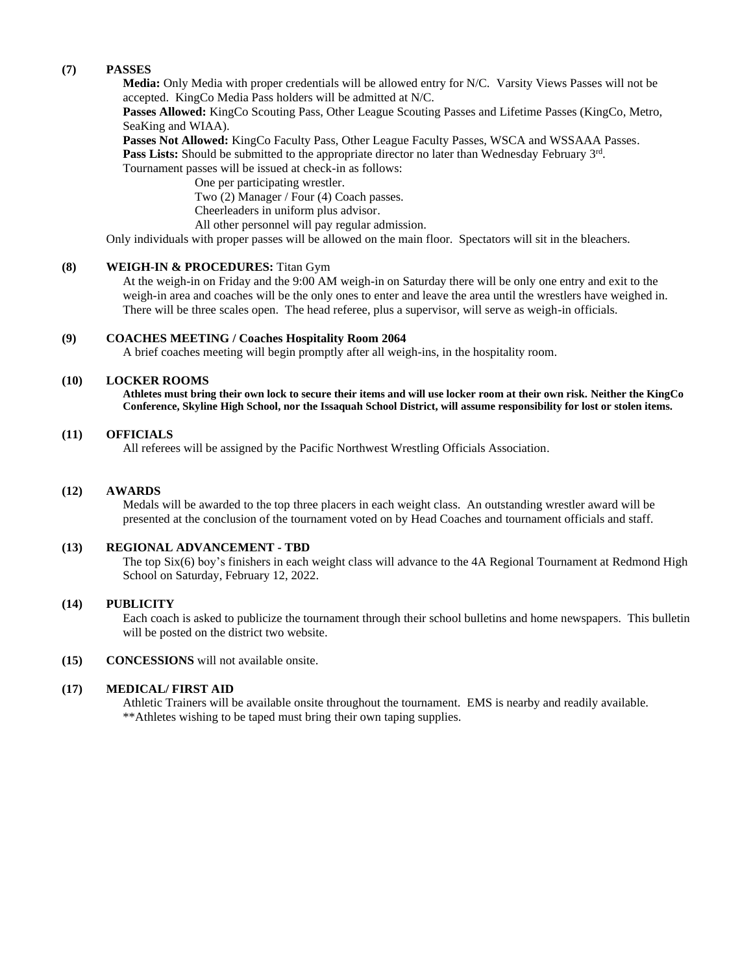## **(7) PASSES**

**Media:** Only Media with proper credentials will be allowed entry for N/C. Varsity Views Passes will not be accepted. KingCo Media Pass holders will be admitted at N/C.

**Passes Allowed:** KingCo Scouting Pass, Other League Scouting Passes and Lifetime Passes (KingCo, Metro, SeaKing and WIAA).

**Passes Not Allowed:** KingCo Faculty Pass, Other League Faculty Passes, WSCA and WSSAAA Passes.

Pass Lists: Should be submitted to the appropriate director no later than Wednesday February 3<sup>rd</sup>.

Tournament passes will be issued at check-in as follows:

One per participating wrestler. Two (2) Manager / Four (4) Coach passes. Cheerleaders in uniform plus advisor.

All other personnel will pay regular admission.

Only individuals with proper passes will be allowed on the main floor. Spectators will sit in the bleachers.

## **(8) WEIGH-IN & PROCEDURES:** Titan Gym

At the weigh-in on Friday and the 9:00 AM weigh-in on Saturday there will be only one entry and exit to the weigh-in area and coaches will be the only ones to enter and leave the area until the wrestlers have weighed in. There will be three scales open. The head referee, plus a supervisor, will serve as weigh-in officials.

## **(9) COACHES MEETING / Coaches Hospitality Room 2064**

A brief coaches meeting will begin promptly after all weigh-ins, in the hospitality room.

## **(10) LOCKER ROOMS**

**Athletes must bring their own lock to secure their items and will use locker room at their own risk. Neither the KingCo Conference, Skyline High School, nor the Issaquah School District, will assume responsibility for lost or stolen items.**

#### **(11) OFFICIALS**

All referees will be assigned by the Pacific Northwest Wrestling Officials Association.

### **(12) AWARDS**

Medals will be awarded to the top three placers in each weight class. An outstanding wrestler award will be presented at the conclusion of the tournament voted on by Head Coaches and tournament officials and staff.

## **(13) REGIONAL ADVANCEMENT - TBD**

The top Six(6) boy's finishers in each weight class will advance to the 4A Regional Tournament at Redmond High School on Saturday, February 12, 2022.

#### **(14) PUBLICITY**

Each coach is asked to publicize the tournament through their school bulletins and home newspapers. This bulletin will be posted on the district two website.

#### **(15) CONCESSIONS** will not available onsite.

#### **(17) MEDICAL/ FIRST AID**

Athletic Trainers will be available onsite throughout the tournament. EMS is nearby and readily available. \*\*Athletes wishing to be taped must bring their own taping supplies.